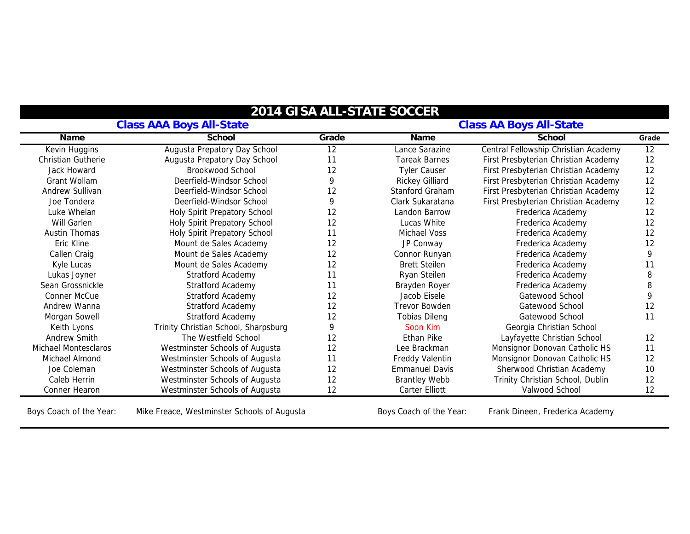| <b>Class AAA Boys All-State</b> |                                      |                 | <b>Class AA Boys All-State</b> |                                      |                 |
|---------------------------------|--------------------------------------|-----------------|--------------------------------|--------------------------------------|-----------------|
| Name                            | School                               | Grade           | Name                           | School                               | Grade           |
| Kevin Huggins                   | Augusta Prepatory Day School         | $\overline{12}$ | Lance Sarazine                 | Central Fellowship Christian Academy | $\overline{12}$ |
| <b>Christian Gutherie</b>       | Augusta Prepatory Day School         | 11              | <b>Tareak Barnes</b>           | First Presbyterian Christian Academy | 12              |
| Jack Howard                     | Brookwood School                     | 12              | <b>Tyler Causer</b>            | First Presbyterian Christian Academy | 12              |
| Grant Wollam                    | Deerfield-Windsor School             | 9               | <b>Rickey Gilliard</b>         | First Presbyterian Christian Academy | 12              |
| Andrew Sullivan                 | Deerfield-Windsor School             | 12              | Stanford Graham                | First Presbyterian Christian Academy | 12              |
| Joe Tondera                     | Deerfield-Windsor School             | 9               | Clark Sukaratana               | First Presbyterian Christian Academy | 12              |
| Luke Whelan                     | Holy Spirit Prepatory School         | 12              | Landon Barrow                  | Frederica Academy                    | 12              |
| Will Garlen                     | Holy Spirit Prepatory School         | 12              | Lucas White                    | Frederica Academy                    | 12              |
| <b>Austin Thomas</b>            | Holy Spirit Prepatory School         | 11              | Michael Voss                   | Frederica Academy                    | 12              |
| Eric Kline                      | Mount de Sales Academy               | 12              | JP Conway                      | Frederica Academy                    | 12              |
| Callen Craig                    | Mount de Sales Academy               | 12              | Connor Runyan                  | Frederica Academy                    | 9               |
| Kyle Lucas                      | Mount de Sales Academy               | 12              | <b>Brett Steilen</b>           | Frederica Academy                    | 11              |
| Lukas Joyner                    | Stratford Academy                    | 11              | Ryan Steilen                   | Frederica Academy                    | 8               |
| Sean Grossnickle                | <b>Stratford Academy</b>             | 11              | Brayden Royer                  | Frederica Academy                    | 8               |
| Conner McCue                    | <b>Stratford Academy</b>             | 12              | Jacob Eisele                   | Gatewood School                      | 9               |
| Andrew Wanna                    | Stratford Academy                    | 12              | <b>Trevor Bowden</b>           | Gatewood School                      | 12              |
| Morgan Sowell                   | <b>Stratford Academy</b>             | 12              | <b>Tobias Dileng</b>           | Gatewood School                      | 11              |
| Keith Lyons                     | Trinity Christian School, Sharpsburg | 9               | Soon Kim                       | Georgia Christian School             |                 |
| Andrew Smith                    | The Westfield School                 | 12              | Ethan Pike                     | Layfayette Christian School          | 12              |
| Michael Montesclaros            | Westminster Schools of Augusta       | 12              | Lee Brackman                   | Monsignor Donovan Catholic HS        | 11              |
| Michael Almond                  | Westminster Schools of Augusta       | 11              | Freddy Valentin                | Monsignor Donovan Catholic HS        | 12              |
| Joe Coleman                     | Westminster Schools of Augusta       | 12              | <b>Emmanuel Davis</b>          | Sherwood Christian Academy           | 10              |
| Caleb Herrin                    | Westminster Schools of Augusta       | 12              | <b>Brantley Webb</b>           | Trinity Christian School, Dublin     | 12              |
| Conner Hearon                   | Westminster Schools of Augusta       | 12              | Carter Elliott                 | Valwood School                       | 12              |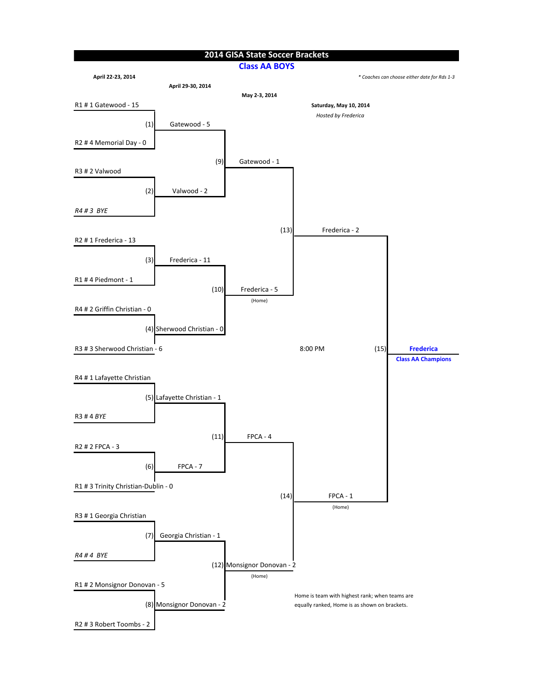